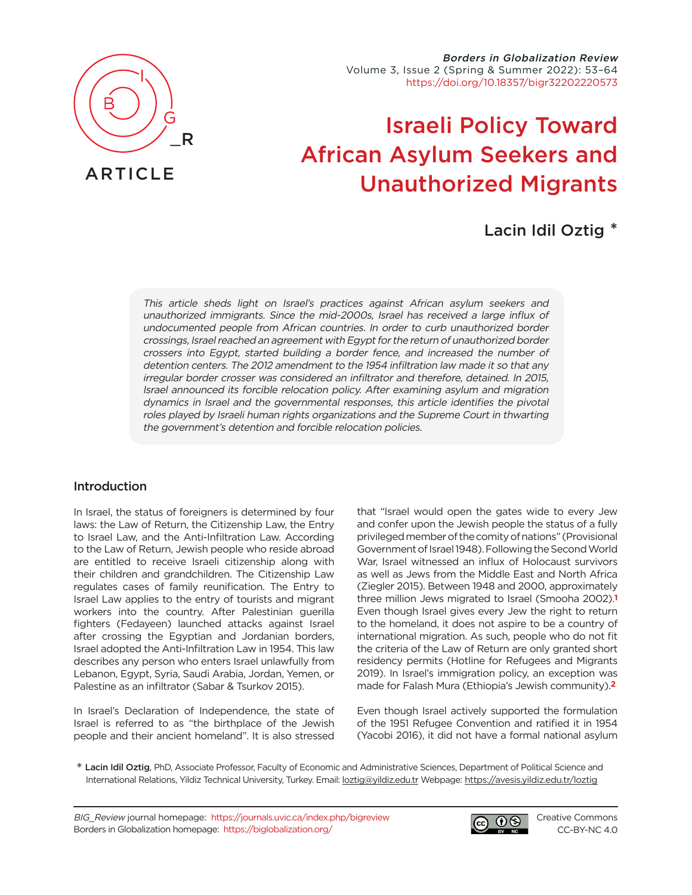

# ARTICLE

Borders in Globalization Review Volume 3, Issue 2 (Spring & Summer 2022): 53–64 [https://doi.org/10.18357/bigr32202220573](https://doi.org/10.18357/bigr32202220573 )

# Israeli Policy Toward African Asylum Seekers and Unauthorized Migrants

# Lacin Idil Oztig \*

This article sheds light on Israel's practices against African asylum seekers and unauthorized immigrants. Since the mid-2000s, Israel has received a large influx of undocumented people from African countries. In order to curb unauthorized border crossings, Israel reached an agreement with Egypt for the return of unauthorized border crossers into Egypt, started building a border fence, and increased the number of detention centers. The 2012 amendment to the 1954 infiltration law made it so that any irregular border crosser was considered an infiltrator and therefore, detained. In 2015, Israel announced its forcible relocation policy. After examining asylum and migration dynamics in Israel and the governmental responses, this article identifies the pivotal roles played by Israeli human rights organizations and the Supreme Court in thwarting the government's detention and forcible relocation policies.

### Introduction

In Israel, the status of foreigners is determined by four laws: the Law of Return, the Citizenship Law, the Entry to Israel Law, and the Anti-Infiltration Law. According to the Law of Return, Jewish people who reside abroad are entitled to receive Israeli citizenship along with their children and grandchildren. The Citizenship Law regulates cases of family reunification. The Entry to Israel Law applies to the entry of tourists and migrant workers into the country. After Palestinian guerilla fighters (Fedayeen) launched attacks against Israel after crossing the Egyptian and Jordanian borders, Israel adopted the Anti-Infiltration Law in 1954. This law describes any person who enters Israel unlawfully from Lebanon, Egypt, Syria, Saudi Arabia, Jordan, Yemen, or Palestine as an infiltrator (Sabar & Tsurkov 2015).

In Israel's Declaration of Independence, the state of Israel is referred to as "the birthplace of the Jewish people and their ancient homeland". It is also stressed

<span id="page-0-0"></span>that "Israel would open the gates wide to every Jew and confer upon the Jewish people the status of a fully privileged member of the comity of nations" (Provisional Government of Israel 1948). Following the Second World War, Israel witnessed an influx of Holocaust survivors as well as Jews from the Middle East and North Africa (Ziegler 2015). Between 1948 and 2000, approximately three million Jews migrated to Israel (Smooha 200[2\).](#page-9-0)**1** Even though Israel gives every Jew the right to return to the homeland, it does not aspire to be a country of international migration. As such, people who do not fit the criteria of the Law of Return are only granted short residency permits (Hotline for Refugees and Migrants 2019). In Israel's immigration policy, an exception was made for Falash Mura (Ethiopia's Jewish communit[y\).](#page-9-1)**2**

<span id="page-0-1"></span>Even though Israel actively supported the formulation of the 1951 Refugee Convention and ratified it in 1954 (Yacobi 2016), it did not have a formal national asylum

\* Lacin Idil Oztig, PhD, Associate Professor, Faculty of Economic and Administrative Sciences, Department of Political Science and International Relations, Yildiz Technical University, Turkey. Email: [loztig@yildiz.edu.tr](mailto:loztig%40yildiz.edu.tr?subject=) Webpage: <https://avesis.yildiz.edu.tr/loztig>

BIG\_Review journal homepage: <https://journals.uvic.ca/index.php/bigreview> Borders in Globalization homepage: <https://biglobalization.org/>



[Creative Commons](https://creativecommons.org/licenses/by-nc/4.0/) [CC-BY-NC 4.0](https://creativecommons.org/licenses/by-nc/4.0/)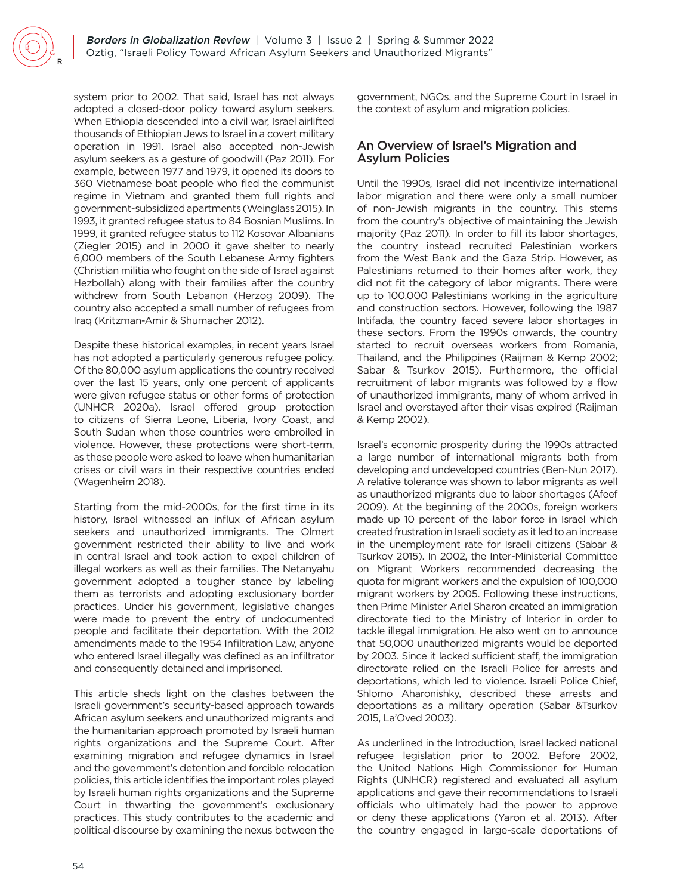system prior to 2002. That said, Israel has not always adopted a closed-door policy toward asylum seekers. When Ethiopia descended into a civil war, Israel airlifted thousands of Ethiopian Jews to Israel in a covert military operation in 1991. Israel also accepted non-Jewish asylum seekers as a gesture of goodwill (Paz 2011). For example, between 1977 and 1979, it opened its doors to 360 Vietnamese boat people who fled the communist regime in Vietnam and granted them full rights and government-subsidized apartments (Weinglass 2015). In 1993, it granted refugee status to 84 Bosnian Muslims. In 1999, it granted refugee status to 112 Kosovar Albanians (Ziegler 2015) and in 2000 it gave shelter to nearly 6,000 members of the South Lebanese Army fighters (Christian militia who fought on the side of Israel against Hezbollah) along with their families after the country withdrew from South Lebanon (Herzog 2009). The country also accepted a small number of refugees from Iraq (Kritzman-Amir & Shumacher 2012).

Despite these historical examples, in recent years Israel has not adopted a particularly generous refugee policy. Of the 80,000 asylum applications the country received over the last 15 years, only one percent of applicants were given refugee status or other forms of protection (UNHCR 2020a). Israel offered group protection to citizens of Sierra Leone, Liberia, Ivory Coast, and South Sudan when those countries were embroiled in violence. However, these protections were short-term, as these people were asked to leave when humanitarian crises or civil wars in their respective countries ended (Wagenheim 2018).

Starting from the mid-2000s, for the first time in its history, Israel witnessed an influx of African asylum seekers and unauthorized immigrants. The Olmert government restricted their ability to live and work in central Israel and took action to expel children of illegal workers as well as their families. The Netanyahu government adopted a tougher stance by labeling them as terrorists and adopting exclusionary border practices. Under his government, legislative changes were made to prevent the entry of undocumented people and facilitate their deportation. With the 2012 amendments made to the 1954 Infiltration Law, anyone who entered Israel illegally was defined as an infiltrator and consequently detained and imprisoned.

This article sheds light on the clashes between the Israeli government's security-based approach towards African asylum seekers and unauthorized migrants and the humanitarian approach promoted by Israeli human rights organizations and the Supreme Court. After examining migration and refugee dynamics in Israel and the government's detention and forcible relocation policies, this article identifies the important roles played by Israeli human rights organizations and the Supreme Court in thwarting the government's exclusionary practices. This study contributes to the academic and political discourse by examining the nexus between the

government, NGOs, and the Supreme Court in Israel in the context of asylum and migration policies.

#### An Overview of Israel's Migration and Asylum Policies

Until the 1990s, Israel did not incentivize international labor migration and there were only a small number of non-Jewish migrants in the country. This stems from the country's objective of maintaining the Jewish majority (Paz 2011). In order to fill its labor shortages, the country instead recruited Palestinian workers from the West Bank and the Gaza Strip. However, as Palestinians returned to their homes after work, they did not fit the category of labor migrants. There were up to 100,000 Palestinians working in the agriculture and construction sectors. However, following the 1987 Intifada, the country faced severe labor shortages in these sectors. From the 1990s onwards, the country started to recruit overseas workers from Romania, Thailand, and the Philippines (Raijman & Kemp 2002; Sabar & Tsurkov 2015). Furthermore, the official recruitment of labor migrants was followed by a flow of unauthorized immigrants, many of whom arrived in Israel and overstayed after their visas expired (Raijman & Kemp 2002).

Israel's economic prosperity during the 1990s attracted a large number of international migrants both from developing and undeveloped countries (Ben-Nun 2017). A relative tolerance was shown to labor migrants as well as unauthorized migrants due to labor shortages (Afeef 2009). At the beginning of the 2000s, foreign workers made up 10 percent of the labor force in Israel which created frustration in Israeli society as it led to an increase in the unemployment rate for Israeli citizens (Sabar & Tsurkov 2015). In 2002, the Inter-Ministerial Committee on Migrant Workers recommended decreasing the quota for migrant workers and the expulsion of 100,000 migrant workers by 2005. Following these instructions, then Prime Minister Ariel Sharon created an immigration directorate tied to the Ministry of Interior in order to tackle illegal immigration. He also went on to announce that 50,000 unauthorized migrants would be deported by 2003. Since it lacked sufficient staff, the immigration directorate relied on the Israeli Police for arrests and deportations, which led to violence. Israeli Police Chief, Shlomo Aharonishky, described these arrests and deportations as a military operation (Sabar &Tsurkov 2015, La'Oved 2003).

As underlined in the Introduction, Israel lacked national refugee legislation prior to 2002. Before 2002, the United Nations High Commissioner for Human Rights (UNHCR) registered and evaluated all asylum applications and gave their recommendations to Israeli officials who ultimately had the power to approve or deny these applications (Yaron et al. 2013). After the country engaged in large-scale deportations of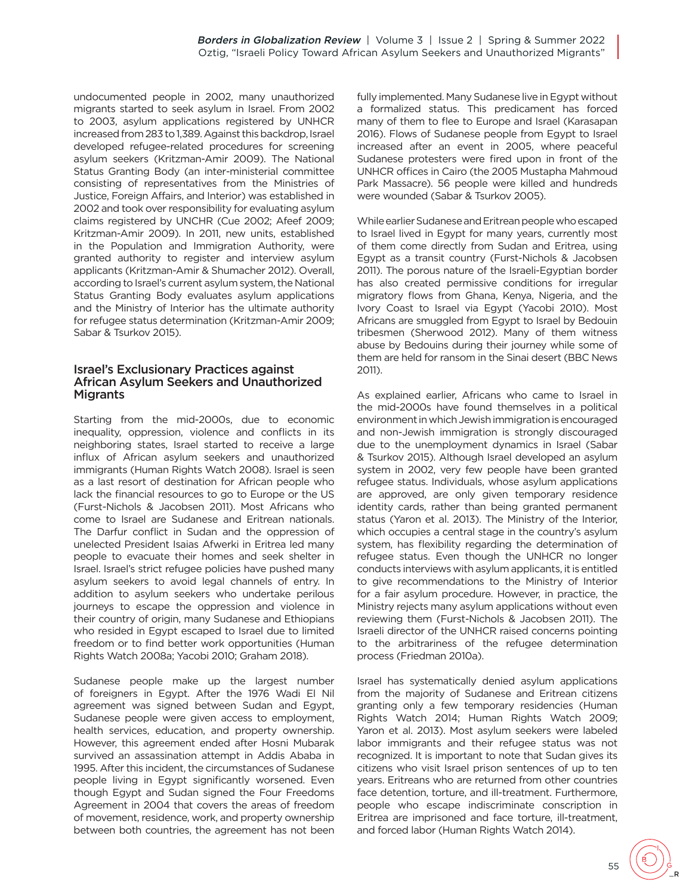undocumented people in 2002, many unauthorized migrants started to seek asylum in Israel. From 2002 to 2003, asylum applications registered by UNHCR increased from 283 to 1,389. Against this backdrop, Israel developed refugee-related procedures for screening asylum seekers (Kritzman-Amir 2009). The National Status Granting Body (an inter-ministerial committee consisting of representatives from the Ministries of Justice, Foreign Affairs, and Interior) was established in 2002 and took over responsibility for evaluating asylum claims registered by UNCHR (Cue 2002; Afeef 2009; Kritzman-Amir 2009). In 2011, new units, established in the Population and Immigration Authority, were granted authority to register and interview asylum applicants (Kritzman-Amir & Shumacher 2012). Overall, according to Israel's current asylum system, the National Status Granting Body evaluates asylum applications and the Ministry of Interior has the ultimate authority for refugee status determination (Kritzman-Amir 2009; Sabar & Tsurkov 2015).

#### Israel's Exclusionary Practices against African Asylum Seekers and Unauthorized Migrants

Starting from the mid-2000s, due to economic inequality, oppression, violence and conflicts in its neighboring states, Israel started to receive a large influx of African asylum seekers and unauthorized immigrants (Human Rights Watch 2008). Israel is seen as a last resort of destination for African people who lack the financial resources to go to Europe or the US (Furst-Nichols & Jacobsen 2011). Most Africans who come to Israel are Sudanese and Eritrean nationals. The Darfur conflict in Sudan and the oppression of unelected President Isaias Afwerki in Eritrea led many people to evacuate their homes and seek shelter in Israel. Israel's strict refugee policies have pushed many asylum seekers to avoid legal channels of entry. In addition to asylum seekers who undertake perilous journeys to escape the oppression and violence in their country of origin, many Sudanese and Ethiopians who resided in Egypt escaped to Israel due to limited freedom or to find better work opportunities (Human Rights Watch 2008a; Yacobi 2010; Graham 2018).

Sudanese people make up the largest number of foreigners in Egypt. After the 1976 Wadi El Nil agreement was signed between Sudan and Egypt, Sudanese people were given access to employment, health services, education, and property ownership. However, this agreement ended after Hosni Mubarak survived an assassination attempt in Addis Ababa in 1995. After this incident, the circumstances of Sudanese people living in Egypt significantly worsened. Even though Egypt and Sudan signed the Four Freedoms Agreement in 2004 that covers the areas of freedom of movement, residence, work, and property ownership between both countries, the agreement has not been

fully implemented. Many Sudanese live in Egypt without a formalized status. This predicament has forced many of them to flee to Europe and Israel (Karasapan 2016). Flows of Sudanese people from Egypt to Israel increased after an event in 2005, where peaceful Sudanese protesters were fired upon in front of the UNHCR offices in Cairo (the 2005 Mustapha Mahmoud Park Massacre). 56 people were killed and hundreds were wounded (Sabar & Tsurkov 2005).

While earlier Sudanese and Eritrean people who escaped to Israel lived in Egypt for many years, currently most of them come directly from Sudan and Eritrea, using Egypt as a transit country (Furst-Nichols & Jacobsen 2011). The porous nature of the Israeli-Egyptian border has also created permissive conditions for irregular migratory flows from Ghana, Kenya, Nigeria, and the Ivory Coast to Israel via Egypt (Yacobi 2010). Most Africans are smuggled from Egypt to Israel by Bedouin tribesmen (Sherwood 2012). Many of them witness abuse by Bedouins during their journey while some of them are held for ransom in the Sinai desert (BBC News 2011).

As explained earlier, Africans who came to Israel in the mid-2000s have found themselves in a political environment in which Jewish immigration is encouraged and non-Jewish immigration is strongly discouraged due to the unemployment dynamics in Israel (Sabar & Tsurkov 2015). Although Israel developed an asylum system in 2002, very few people have been granted refugee status. Individuals, whose asylum applications are approved, are only given temporary residence identity cards, rather than being granted permanent status (Yaron et al. 2013). The Ministry of the Interior, which occupies a central stage in the country's asylum system, has flexibility regarding the determination of refugee status. Even though the UNHCR no longer conducts interviews with asylum applicants, it is entitled to give recommendations to the Ministry of Interior for a fair asylum procedure. However, in practice, the Ministry rejects many asylum applications without even reviewing them (Furst-Nichols & Jacobsen 2011). The Israeli director of the UNHCR raised concerns pointing to the arbitrariness of the refugee determination process (Friedman 2010a).

Israel has systematically denied asylum applications from the majority of Sudanese and Eritrean citizens granting only a few temporary residencies (Human Rights Watch 2014; Human Rights Watch 2009; Yaron et al. 2013). Most asylum seekers were labeled labor immigrants and their refugee status was not recognized. It is important to note that Sudan gives its citizens who visit Israel prison sentences of up to ten years. Eritreans who are returned from other countries face detention, torture, and ill-treatment. Furthermore, people who escape indiscriminate conscription in Eritrea are imprisoned and face torture, ill-treatment, and forced labor (Human Rights Watch 2014).

55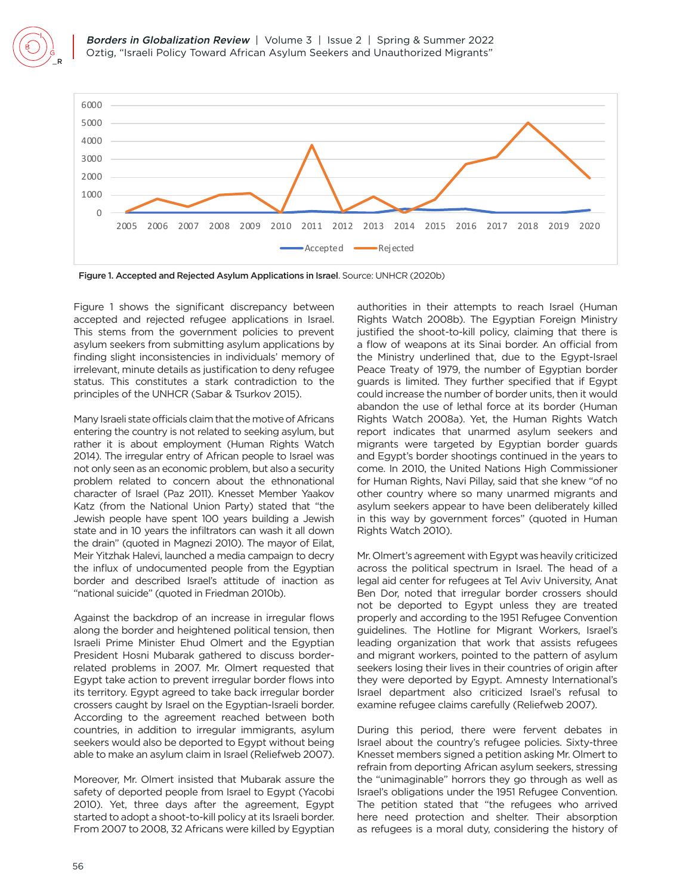

Figure 1. Accepted and Rejected Asylum Applications in Israel. Source: UNHCR (2020b)

Figure 1 shows the significant discrepancy between accepted and rejected refugee applications in Israel. This stems from the government policies to prevent asylum seekers from submitting asylum applications by finding slight inconsistencies in individuals' memory of irrelevant, minute details as justification to deny refugee status. This constitutes a stark contradiction to the principles of the UNHCR (Sabar & Tsurkov 2015).

Many Israeli state officials claim that the motive of Africans entering the country is not related to seeking asylum, but rather it is about employment (Human Rights Watch 2014). The irregular entry of African people to Israel was not only seen as an economic problem, but also a security problem related to concern about the ethnonational character of Israel (Paz 2011). Knesset Member Yaakov Katz (from the National Union Party) stated that "the Jewish people have spent 100 years building a Jewish state and in 10 years the infiltrators can wash it all down the drain" (quoted in Magnezi 2010). The mayor of Eilat, Meir Yitzhak Halevi, launched a media campaign to decry the influx of undocumented people from the Egyptian border and described Israel's attitude of inaction as "national suicide" (quoted in Friedman 2010b).

Against the backdrop of an increase in irregular flows along the border and heightened political tension, then Israeli Prime Minister Ehud Olmert and the Egyptian President Hosni Mubarak gathered to discuss borderrelated problems in 2007. Mr. Olmert requested that Egypt take action to prevent irregular border flows into its territory. Egypt agreed to take back irregular border crossers caught by Israel on the Egyptian-Israeli border. According to the agreement reached between both countries, in addition to irregular immigrants, asylum seekers would also be deported to Egypt without being able to make an asylum claim in Israel (Reliefweb 2007).

Moreover, Mr. Olmert insisted that Mubarak assure the safety of deported people from Israel to Egypt (Yacobi 2010). Yet, three days after the agreement, Egypt started to adopt a shoot-to-kill policy at its Israeli border. From 2007 to 2008, 32 Africans were killed by Egyptian authorities in their attempts to reach Israel (Human Rights Watch 2008b). The Egyptian Foreign Ministry justified the shoot-to-kill policy, claiming that there is a flow of weapons at its Sinai border. An official from the Ministry underlined that, due to the Egypt-Israel Peace Treaty of 1979, the number of Egyptian border guards is limited. They further specified that if Egypt could increase the number of border units, then it would abandon the use of lethal force at its border (Human Rights Watch 2008a). Yet, the Human Rights Watch report indicates that unarmed asylum seekers and migrants were targeted by Egyptian border guards and Egypt's border shootings continued in the years to come. In 2010, the United Nations High Commissioner for Human Rights, Navi Pillay, said that she knew "of no other country where so many unarmed migrants and asylum seekers appear to have been deliberately killed in this way by government forces" (quoted in Human Rights Watch 2010).

Mr. Olmert's agreement with Egypt was heavily criticized across the political spectrum in Israel. The head of a legal aid center for refugees at Tel Aviv University, Anat Ben Dor, noted that irregular border crossers should not be deported to Egypt unless they are treated properly and according to the 1951 Refugee Convention guidelines. The Hotline for Migrant Workers, Israel's leading organization that work that assists refugees and migrant workers, pointed to the pattern of asylum seekers losing their lives in their countries of origin after they were deported by Egypt. Amnesty International's Israel department also criticized Israel's refusal to examine refugee claims carefully (Reliefweb 2007).

During this period, there were fervent debates in Israel about the country's refugee policies. Sixty-three Knesset members signed a petition asking Mr. Olmert to refrain from deporting African asylum seekers, stressing the "unimaginable" horrors they go through as well as Israel's obligations under the 1951 Refugee Convention. The petition stated that "the refugees who arrived here need protection and shelter. Their absorption as refugees is a moral duty, considering the history of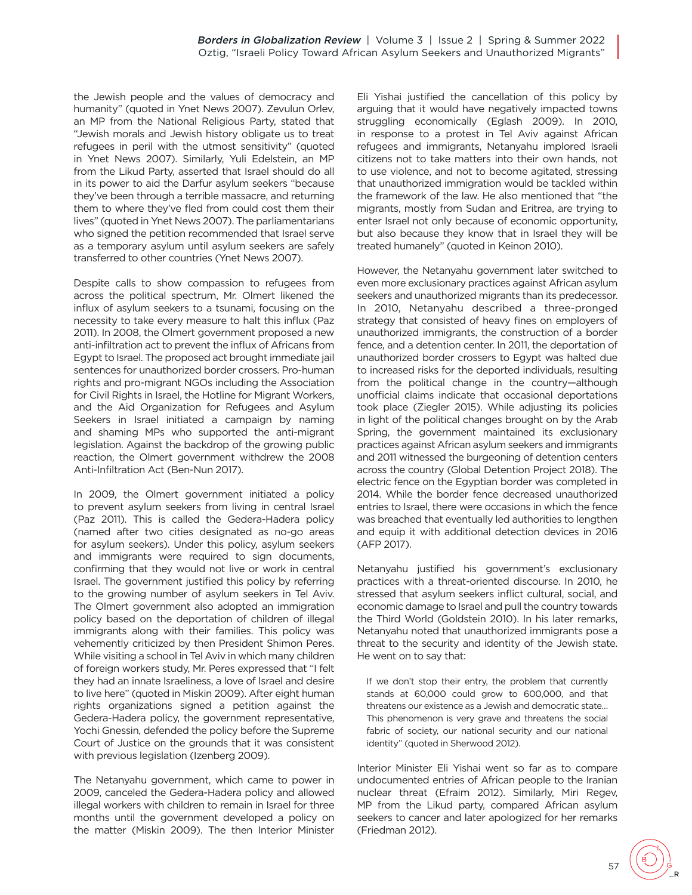the Jewish people and the values of democracy and humanity" (quoted in Ynet News 2007). Zevulun Orlev, an MP from the National Religious Party, stated that "Jewish morals and Jewish history obligate us to treat refugees in peril with the utmost sensitivity" (quoted in Ynet News 2007). Similarly, Yuli Edelstein, an MP from the Likud Party, asserted that Israel should do all in its power to aid the Darfur asylum seekers "because they've been through a terrible massacre, and returning them to where they've fled from could cost them their lives" (quoted in Ynet News 2007). The parliamentarians who signed the petition recommended that Israel serve as a temporary asylum until asylum seekers are safely transferred to other countries (Ynet News 2007).

Despite calls to show compassion to refugees from across the political spectrum, Mr. Olmert likened the influx of asylum seekers to a tsunami, focusing on the necessity to take every measure to halt this influx (Paz 2011). In 2008, the Olmert government proposed a new anti-infiltration act to prevent the influx of Africans from Egypt to Israel. The proposed act brought immediate jail sentences for unauthorized border crossers. Pro-human rights and pro-migrant NGOs including the Association for Civil Rights in Israel, the Hotline for Migrant Workers, and the Aid Organization for Refugees and Asylum Seekers in Israel initiated a campaign by naming and shaming MPs who supported the anti-migrant legislation. Against the backdrop of the growing public reaction, the Olmert government withdrew the 2008 Anti-Infiltration Act (Ben-Nun 2017).

In 2009, the Olmert government initiated a policy to prevent asylum seekers from living in central Israel (Paz 2011). This is called the Gedera-Hadera policy (named after two cities designated as no-go areas for asylum seekers). Under this policy, asylum seekers and immigrants were required to sign documents, confirming that they would not live or work in central Israel. The government justified this policy by referring to the growing number of asylum seekers in Tel Aviv. The Olmert government also adopted an immigration policy based on the deportation of children of illegal immigrants along with their families. This policy was vehemently criticized by then President Shimon Peres. While visiting a school in Tel Aviv in which many children of foreign workers study, Mr. Peres expressed that "I felt they had an innate Israeliness, a love of Israel and desire to live here" (quoted in Miskin 2009). After eight human rights organizations signed a petition against the Gedera-Hadera policy, the government representative, Yochi Gnessin, defended the policy before the Supreme Court of Justice on the grounds that it was consistent with previous legislation (Izenberg 2009).

The Netanyahu government, which came to power in 2009, canceled the Gedera-Hadera policy and allowed illegal workers with children to remain in Israel for three months until the government developed a policy on the matter (Miskin 2009). The then Interior Minister Eli Yishai justified the cancellation of this policy by arguing that it would have negatively impacted towns struggling economically (Eglash 2009). In 2010, in response to a protest in Tel Aviv against African refugees and immigrants, Netanyahu implored Israeli citizens not to take matters into their own hands, not to use violence, and not to become agitated, stressing that unauthorized immigration would be tackled within the framework of the law. He also mentioned that "the migrants, mostly from Sudan and Eritrea, are trying to enter Israel not only because of economic opportunity, but also because they know that in Israel they will be treated humanely" (quoted in Keinon 2010).

However, the Netanyahu government later switched to even more exclusionary practices against African asylum seekers and unauthorized migrants than its predecessor. In 2010, Netanyahu described a three-pronged strategy that consisted of heavy fines on employers of unauthorized immigrants, the construction of a border fence, and a detention center. In 2011, the deportation of unauthorized border crossers to Egypt was halted due to increased risks for the deported individuals, resulting from the political change in the country—although unofficial claims indicate that occasional deportations took place (Ziegler 2015). While adjusting its policies in light of the political changes brought on by the Arab Spring, the government maintained its exclusionary practices against African asylum seekers and immigrants and 2011 witnessed the burgeoning of detention centers across the country (Global Detention Project 2018). The electric fence on the Egyptian border was completed in 2014. While the border fence decreased unauthorized entries to Israel, there were occasions in which the fence was breached that eventually led authorities to lengthen and equip it with additional detection devices in 2016 (AFP 2017).

Netanyahu justified his government's exclusionary practices with a threat-oriented discourse. In 2010, he stressed that asylum seekers inflict cultural, social, and economic damage to Israel and pull the country towards the Third World (Goldstein 2010). In his later remarks, Netanyahu noted that unauthorized immigrants pose a threat to the security and identity of the Jewish state. He went on to say that:

If we don't stop their entry, the problem that currently stands at 60,000 could grow to 600,000, and that threatens our existence as a Jewish and democratic state… This phenomenon is very grave and threatens the social fabric of society, our national security and our national identity" (quoted in Sherwood 2012).

Interior Minister Eli Yishai went so far as to compare undocumented entries of African people to the Iranian nuclear threat (Efraim 2012). Similarly, Miri Regev, MP from the Likud party, compared African asylum seekers to cancer and later apologized for her remarks (Friedman 2012).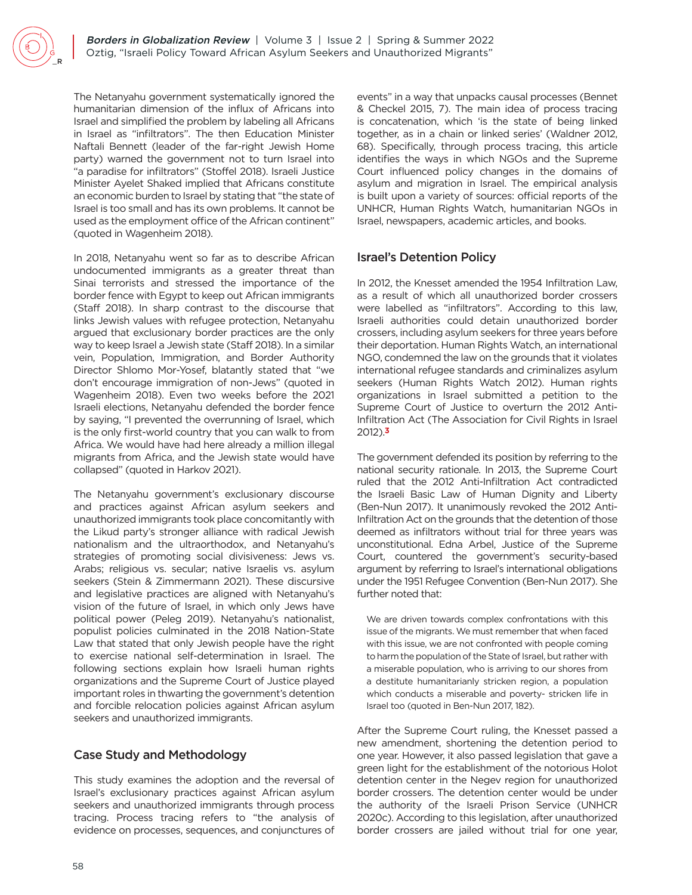The Netanyahu government systematically ignored the humanitarian dimension of the influx of Africans into Israel and simplified the problem by labeling all Africans in Israel as "infiltrators". The then Education Minister Naftali Bennett (leader of the far-right Jewish Home party) warned the government not to turn Israel into "a paradise for infiltrators" (Stoffel 2018). Israeli Justice Minister Ayelet Shaked implied that Africans constitute an economic burden to Israel by stating that "the state of Israel is too small and has its own problems. It cannot be used as the employment office of the African continent" (quoted in Wagenheim 2018).

In 2018, Netanyahu went so far as to describe African undocumented immigrants as a greater threat than Sinai terrorists and stressed the importance of the border fence with Egypt to keep out African immigrants (Staff 2018). In sharp contrast to the discourse that links Jewish values with refugee protection, Netanyahu argued that exclusionary border practices are the only way to keep Israel a Jewish state (Staff 2018). In a similar vein, Population, Immigration, and Border Authority Director Shlomo Mor-Yosef, blatantly stated that "we don't encourage immigration of non-Jews" (quoted in Wagenheim 2018). Even two weeks before the 2021 Israeli elections, Netanyahu defended the border fence by saying, "I prevented the overrunning of Israel, which is the only first-world country that you can walk to from Africa. We would have had here already a million illegal migrants from Africa, and the Jewish state would have collapsed" (quoted in Harkov 2021).

The Netanyahu government's exclusionary discourse and practices against African asylum seekers and unauthorized immigrants took place concomitantly with the Likud party's stronger alliance with radical Jewish nationalism and the ultraorthodox, and Netanyahu's strategies of promoting social divisiveness: Jews vs. Arabs; religious vs. secular; native Israelis vs. asylum seekers (Stein & Zimmermann 2021). These discursive and legislative practices are aligned with Netanyahu's vision of the future of Israel, in which only Jews have political power (Peleg 2019). Netanyahu's nationalist, populist policies culminated in the 2018 Nation-State Law that stated that only Jewish people have the right to exercise national self-determination in Israel. The following sections explain how Israeli human rights organizations and the Supreme Court of Justice played important roles in thwarting the government's detention and forcible relocation policies against African asylum seekers and unauthorized immigrants.

# Case Study and Methodology

This study examines the adoption and the reversal of Israel's exclusionary practices against African asylum seekers and unauthorized immigrants through process tracing. Process tracing refers to "the analysis of evidence on processes, sequences, and conjunctures of events" in a way that unpacks causal processes (Bennet & Checkel 2015, 7). The main idea of process tracing is concatenation, which 'is the state of being linked together, as in a chain or linked series' (Waldner 2012, 68). Specifically, through process tracing, this article identifies the ways in which NGOs and the Supreme Court influenced policy changes in the domains of asylum and migration in Israel. The empirical analysis is built upon a variety of sources: official reports of the UNHCR, Human Rights Watch, humanitarian NGOs in Israel, newspapers, academic articles, and books.

## Israel's Detention Policy

In 2012, the Knesset amended the 1954 Infiltration Law, as a result of which all unauthorized border crossers were labelled as "infiltrators". According to this law, Israeli authorities could detain unauthorized border crossers, including asylum seekers for three years before their deportation. Human Rights Watch, an international NGO, condemned the law on the grounds that it violates international refugee standards and criminalizes asylum seekers (Human Rights Watch 2012). Human rights organizations in Israel submitted a petition to the Supreme Court of Justice to overturn the 2012 Anti-Infiltration Act (The Association for Civil Rights in Israel 201[2\).](#page-9-2)**3**

<span id="page-5-0"></span>The government defended its position by referring to the national security rationale. In 2013, the Supreme Court ruled that the 2012 Anti-Infiltration Act contradicted the Israeli Basic Law of Human Dignity and Liberty (Ben-Nun 2017). It unanimously revoked the 2012 Anti-Infiltration Act on the grounds that the detention of those deemed as infiltrators without trial for three years was unconstitutional. Edna Arbel, Justice of the Supreme Court, countered the government's security-based argument by referring to Israel's international obligations under the 1951 Refugee Convention (Ben-Nun 2017). She further noted that:

We are driven towards complex confrontations with this issue of the migrants. We must remember that when faced with this issue, we are not confronted with people coming to harm the population of the State of Israel, but rather with a miserable population, who is arriving to our shores from a destitute humanitarianly stricken region, a population which conducts a miserable and poverty- stricken life in Israel too (quoted in Ben-Nun 2017, 182).

After the Supreme Court ruling, the Knesset passed a new amendment, shortening the detention period to one year. However, it also passed legislation that gave a green light for the establishment of the notorious Holot detention center in the Negev region for unauthorized border crossers. The detention center would be under the authority of the Israeli Prison Service (UNHCR 2020c). According to this legislation, after unauthorized border crossers are jailed without trial for one year,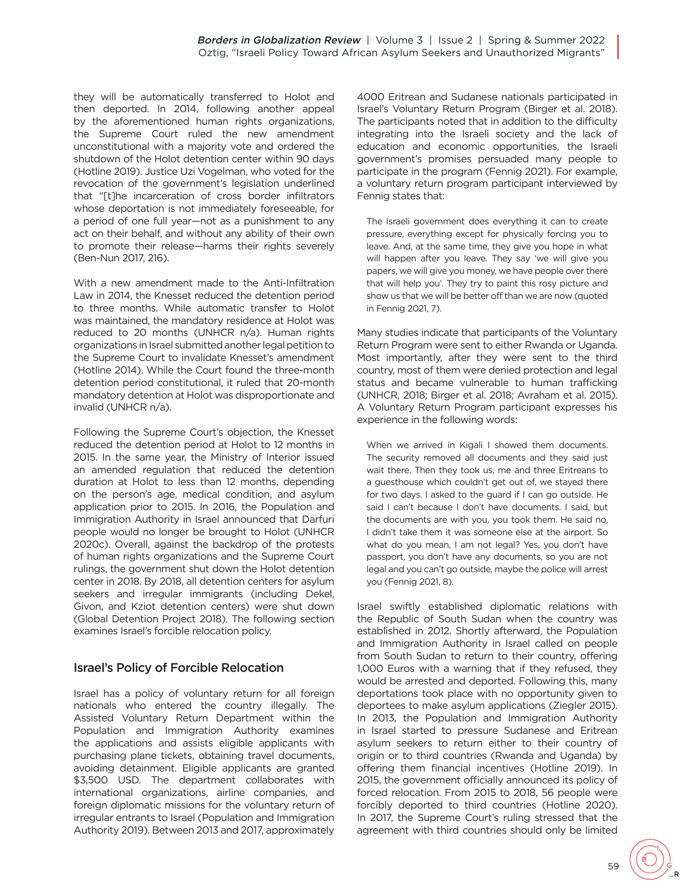they will be automatically transferred to Holot and then deported. In 2014, following another appeal by the aforementioned human rights organizations, the Supreme Court ruled the new amendment unconstitutional with a majority vote and ordered the shutdown of the Holot detention center within 90 days (Hotline 2019). Justice Uzi Vogelman, who voted for the revocation of the government's legislation underlined that "[t]he incarceration of cross border infiltrators whose deportation is not immediately foreseeable, for a period of one full year—not as a punishment to any act on their behalf, and without any ability of their own to promote their release—harms their rights severely (Ben-Nun 2017, 216).

With a new amendment made to the Anti-Infiltration Law in 2014, the Knesset reduced the detention period to three months. While automatic transfer to Holot was maintained, the mandatory residence at Holot was reduced to 20 months (UNHCR n/a). Human rights organizations in Israel submitted another legal petition to the Supreme Court to invalidate Knesset's amendment (Hotline 2014). While the Court found the three-month detention period constitutional, it ruled that 20-month mandatory detention at Holot was disproportionate and invalid (UNHCR n/a).

Following the Supreme Court's objection, the Knesset reduced the detention period at Holot to 12 months in 2015. In the same year, the Ministry of Interior issued an amended regulation that reduced the detention duration at Holot to less than 12 months, depending on the person's age, medical condition, and asylum application prior to 2015. In 2016, the Population and Immigration Authority in Israel announced that Darfuri people would no longer be brought to Holot (UNHCR 2020c). Overall, against the backdrop of the protests of human rights organizations and the Supreme Court rulings, the government shut down the Holot detention center in 2018. By 2018, all detention centers for asylum seekers and irregular immigrants (including Dekel, Givon, and Kziot detention centers) were shut down (Global Detention Project 2018). The following section examines Israel's forcible relocation policy.

### Israel's Policy of Forcible Relocation

Israel has a policy of voluntary return for all foreign nationals who entered the country illegally. The Assisted Voluntary Return Department within the Population and Immigration Authority examines the applications and assists eligible applicants with purchasing plane tickets, obtaining travel documents, avoiding detainment. Eligible applicants are granted \$3,500 USD. The department collaborates with international organizations, airline companies, and foreign diplomatic missions for the voluntary return of irregular entrants to Israel (Population and Immigration Authority 2019). Between 2013 and 2017, approximately

4000 Eritrean and Sudanese nationals participated in Israel's Voluntary Return Program (Birger et al. 2018). The participants noted that in addition to the difficulty integrating into the Israeli society and the lack of education and economic opportunities, the Israeli government's promises persuaded many people to participate in the program (Fennig 2021). For example, a voluntary return program participant interviewed by Fennig states that:

The Israeli government does everything it can to create pressure, everything except for physically forcing you to leave. And, at the same time, they give you hope in what will happen after you leave. They say 'we will give you papers, we will give you money, we have people over there that will help you'. They try to paint this rosy picture and show us that we will be better off than we are now (quoted in Fennig 2021, 7).

Many studies indicate that participants of the Voluntary Return Program were sent to either Rwanda or Uganda. Most importantly, after they were sent to the third country, most of them were denied protection and legal status and became vulnerable to human trafficking (UNHCR, 2018; Birger et al. 2018; Avraham et al. 2015). A Voluntary Return Program participant expresses his experience in the following words:

When we arrived in Kigali I showed them documents. The security removed all documents and they said just wait there. Then they took us, me and three Eritreans to a guesthouse which couldn't get out of, we stayed there for two days. I asked to the guard if I can go outside. He said I can't because I don't have documents. I said, but the documents are with you, you took them. He said no, I didn't take them it was someone else at the airport. So what do you mean, I am not legal? Yes, you don't have passport, you don't have any documents, so you are not legal and you can't go outside, maybe the police will arrest you (Fennig 2021, 8).

Israel swiftly established diplomatic relations with the Republic of South Sudan when the country was established in 2012. Shortly afterward, the Population and Immigration Authority in Israel called on people from South Sudan to return to their country, offering 1,000 Euros with a warning that if they refused, they would be arrested and deported. Following this, many deportations took place with no opportunity given to deportees to make asylum applications (Ziegler 2015). In 2013, the Population and Immigration Authority in Israel started to pressure Sudanese and Eritrean asylum seekers to return either to their country of origin or to third countries (Rwanda and Uganda) by offering them financial incentives (Hotline 2019). In 2015, the government officially announced its policy of forced relocation. From 2015 to 2018, 56 people were forcibly deported to third countries (Hotline 2020). In 2017, the Supreme Court's ruling stressed that the agreement with third countries should only be limited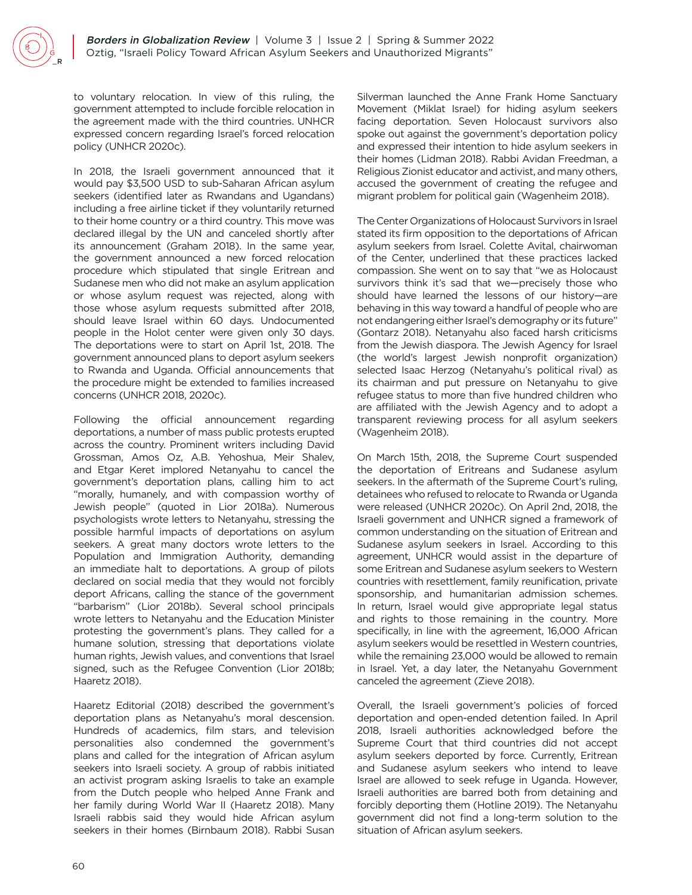to voluntary relocation. In view of this ruling, the government attempted to include forcible relocation in the agreement made with the third countries. UNHCR expressed concern regarding Israel's forced relocation policy (UNHCR 2020c).

In 2018, the Israeli government announced that it would pay \$3,500 USD to sub-Saharan African asylum seekers (identified later as Rwandans and Ugandans) including a free airline ticket if they voluntarily returned to their home country or a third country. This move was declared illegal by the UN and canceled shortly after its announcement (Graham 2018). In the same year, the government announced a new forced relocation procedure which stipulated that single Eritrean and Sudanese men who did not make an asylum application or whose asylum request was rejected, along with those whose asylum requests submitted after 2018, should leave Israel within 60 days. Undocumented people in the Holot center were given only 30 days. The deportations were to start on April 1st, 2018. The government announced plans to deport asylum seekers to Rwanda and Uganda. Official announcements that the procedure might be extended to families increased concerns (UNHCR 2018, 2020c).

Following the official announcement regarding deportations, a number of mass public protests erupted across the country. Prominent writers including David Grossman, Amos Oz, A.B. Yehoshua, Meir Shalev, and Etgar Keret implored Netanyahu to cancel the government's deportation plans, calling him to act "morally, humanely, and with compassion worthy of Jewish people" (quoted in Lior 2018a). Numerous psychologists wrote letters to Netanyahu, stressing the possible harmful impacts of deportations on asylum seekers. A great many doctors wrote letters to the Population and Immigration Authority, demanding an immediate halt to deportations. A group of pilots declared on social media that they would not forcibly deport Africans, calling the stance of the government "barbarism" (Lior 2018b). Several school principals wrote letters to Netanyahu and the Education Minister protesting the government's plans. They called for a humane solution, stressing that deportations violate human rights, Jewish values, and conventions that Israel signed, such as the Refugee Convention (Lior 2018b; Haaretz 2018).

Haaretz Editorial (2018) described the government's deportation plans as Netanyahu's moral descension. Hundreds of academics, film stars, and television personalities also condemned the government's plans and called for the integration of African asylum seekers into Israeli society. A group of rabbis initiated an activist program asking Israelis to take an example from the Dutch people who helped Anne Frank and her family during World War II (Haaretz 2018). Many Israeli rabbis said they would hide African asylum seekers in their homes (Birnbaum 2018). Rabbi Susan

Silverman launched the Anne Frank Home Sanctuary Movement (Miklat Israel) for hiding asylum seekers facing deportation. Seven Holocaust survivors also spoke out against the government's deportation policy and expressed their intention to hide asylum seekers in their homes (Lidman 2018). Rabbi Avidan Freedman, a Religious Zionist educator and activist, and many others, accused the government of creating the refugee and migrant problem for political gain (Wagenheim 2018).

The Center Organizations of Holocaust Survivors in Israel stated its firm opposition to the deportations of African asylum seekers from Israel. Colette Avital, chairwoman of the Center, underlined that these practices lacked compassion. She went on to say that "we as Holocaust survivors think it's sad that we—precisely those who should have learned the lessons of our history—are behaving in this way toward a handful of people who are not endangering either Israel's demography or its future" (Gontarz 2018). Netanyahu also faced harsh criticisms from the Jewish diaspora. The Jewish Agency for Israel (the world's largest Jewish nonprofit organization) selected Isaac Herzog (Netanyahu's political rival) as its chairman and put pressure on Netanyahu to give refugee status to more than five hundred children who are affiliated with the Jewish Agency and to adopt a transparent reviewing process for all asylum seekers (Wagenheim 2018).

On March 15th, 2018, the Supreme Court suspended the deportation of Eritreans and Sudanese asylum seekers. In the aftermath of the Supreme Court's ruling, detainees who refused to relocate to Rwanda or Uganda were released (UNHCR 2020c). On April 2nd, 2018, the Israeli government and UNHCR signed a framework of common understanding on the situation of Eritrean and Sudanese asylum seekers in Israel. According to this agreement, UNHCR would assist in the departure of some Eritrean and Sudanese asylum seekers to Western countries with resettlement, family reunification, private sponsorship, and humanitarian admission schemes. In return, Israel would give appropriate legal status and rights to those remaining in the country. More specifically, in line with the agreement, 16,000 African asylum seekers would be resettled in Western countries, while the remaining 23,000 would be allowed to remain in Israel. Yet, a day later, the Netanyahu Government canceled the agreement (Zieve 2018).

Overall, the Israeli government's policies of forced deportation and open-ended detention failed. In April 2018, Israeli authorities acknowledged before the Supreme Court that third countries did not accept asylum seekers deported by force. Currently, Eritrean and Sudanese asylum seekers who intend to leave Israel are allowed to seek refuge in Uganda. However, Israeli authorities are barred both from detaining and forcibly deporting them (Hotline 2019). The Netanyahu government did not find a long-term solution to the situation of African asylum seekers.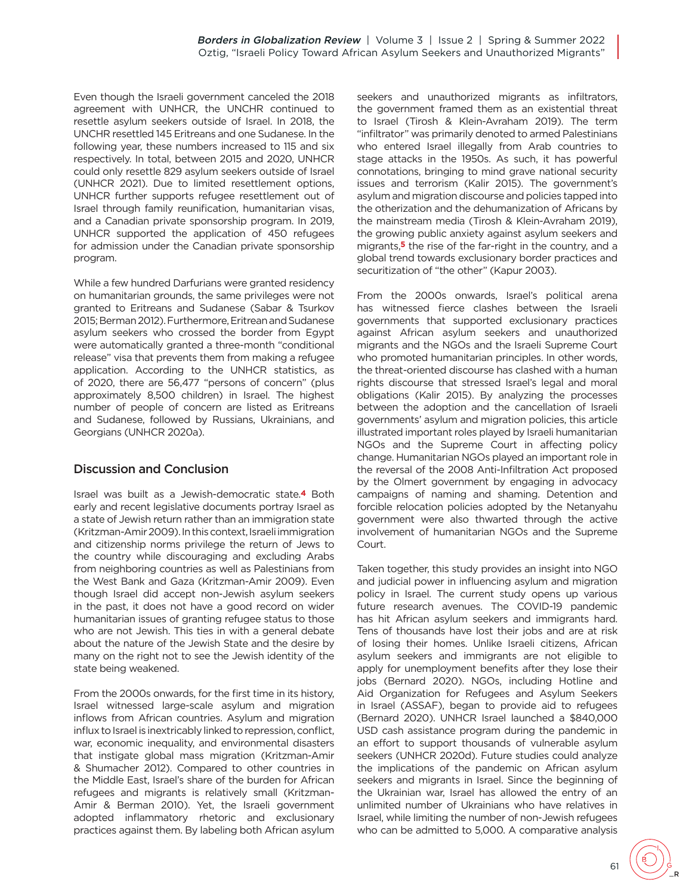Even though the Israeli government canceled the 2018 agreement with UNHCR, the UNCHR continued to resettle asylum seekers outside of Israel. In 2018, the UNCHR resettled 145 Eritreans and one Sudanese. In the following year, these numbers increased to 115 and six respectively. In total, between 2015 and 2020, UNHCR could only resettle 829 asylum seekers outside of Israel (UNHCR 2021). Due to limited resettlement options, UNHCR further supports refugee resettlement out of Israel through family reunification, humanitarian visas, and a Canadian private sponsorship program. In 2019, UNHCR supported the application of 450 refugees for admission under the Canadian private sponsorship program.

While a few hundred Darfurians were granted residency on humanitarian grounds, the same privileges were not granted to Eritreans and Sudanese (Sabar & Tsurkov 2015; Berman 2012). Furthermore, Eritrean and Sudanese asylum seekers who crossed the border from Egypt were automatically granted a three-month "conditional release" visa that prevents them from making a refugee application. According to the UNHCR statistics, as of 2020, there are 56,477 "persons of concern" (plus approximately 8,500 children) in Israel. The highest number of people of concern are listed as Eritreans and Sudanese, followed by Russians, Ukrainians, and Georgians (UNHCR 2020a).

# <span id="page-8-0"></span>Discussion and Conclusion

Israel was built as a Jewish-democratic sta[te.](#page-9-3)**4** Both early and recent legislative documents portray Israel as a state of Jewish return rather than an immigration state (Kritzman-Amir 2009). In this context, Israeli immigration and citizenship norms privilege the return of Jews to the country while discouraging and excluding Arabs from neighboring countries as well as Palestinians from the West Bank and Gaza (Kritzman-Amir 2009). Even though Israel did accept non-Jewish asylum seekers in the past, it does not have a good record on wider humanitarian issues of granting refugee status to those who are not Jewish. This ties in with a general debate about the nature of the Jewish State and the desire by many on the right not to see the Jewish identity of the state being weakened.

From the 2000s onwards, for the first time in its history, Israel witnessed large-scale asylum and migration inflows from African countries. Asylum and migration influx to Israel is inextricably linked to repression, conflict, war, economic inequality, and environmental disasters that instigate global mass migration (Kritzman-Amir & Shumacher 2012). Compared to other countries in the Middle East, Israel's share of the burden for African refugees and migrants is relatively small (Kritzman-Amir & Berman 2010). Yet, the Israeli government adopted inflammatory rhetoric and exclusionary practices against them. By labeling both African asylum seekers and unauthorized migrants as infiltrators, the government framed them as an existential threat to Israel (Tirosh & Klein-Avraham 2019). The term "infiltrator" was primarily denoted to armed Palestinians who entered Israel illegally from Arab countries to stage attacks in the 1950s. As such, it has powerful connotations, bringing to mind grave national security issues and terrorism (Kalir 2015). The government's asylum and migration discourse and policies tapped into the otherization and the dehumanization of Africans by the mainstream media (Tirosh & Klein-Avraham 2019), the growing public anxiety against asylum seekers and migran[ts,](#page-9-4)**5** the rise of the far-right in the country, and a global trend towards exclusionary border practices and securitization of "the other" (Kapur 2003).

<span id="page-8-1"></span>From the 2000s onwards, Israel's political arena has witnessed fierce clashes between the Israeli governments that supported exclusionary practices against African asylum seekers and unauthorized migrants and the NGOs and the Israeli Supreme Court who promoted humanitarian principles. In other words, the threat-oriented discourse has clashed with a human rights discourse that stressed Israel's legal and moral obligations (Kalir 2015). By analyzing the processes between the adoption and the cancellation of Israeli governments' asylum and migration policies, this article illustrated important roles played by Israeli humanitarian NGOs and the Supreme Court in affecting policy change. Humanitarian NGOs played an important role in the reversal of the 2008 Anti-Infiltration Act proposed by the Olmert government by engaging in advocacy campaigns of naming and shaming. Detention and forcible relocation policies adopted by the Netanyahu government were also thwarted through the active involvement of humanitarian NGOs and the Supreme Court.

Taken together, this study provides an insight into NGO and judicial power in influencing asylum and migration policy in Israel. The current study opens up various future research avenues. The COVID-19 pandemic has hit African asylum seekers and immigrants hard. Tens of thousands have lost their jobs and are at risk of losing their homes. Unlike Israeli citizens, African asylum seekers and immigrants are not eligible to apply for unemployment benefits after they lose their jobs (Bernard 2020). NGOs, including Hotline and Aid Organization for Refugees and Asylum Seekers in Israel (ASSAF), began to provide aid to refugees (Bernard 2020). UNHCR Israel launched a \$840,000 USD cash assistance program during the pandemic in an effort to support thousands of vulnerable asylum seekers (UNHCR 2020d). Future studies could analyze the implications of the pandemic on African asylum seekers and migrants in Israel. Since the beginning of the Ukrainian war, Israel has allowed the entry of an unlimited number of Ukrainians who have relatives in Israel, while limiting the number of non-Jewish refugees who can be admitted to 5,000. A comparative analysis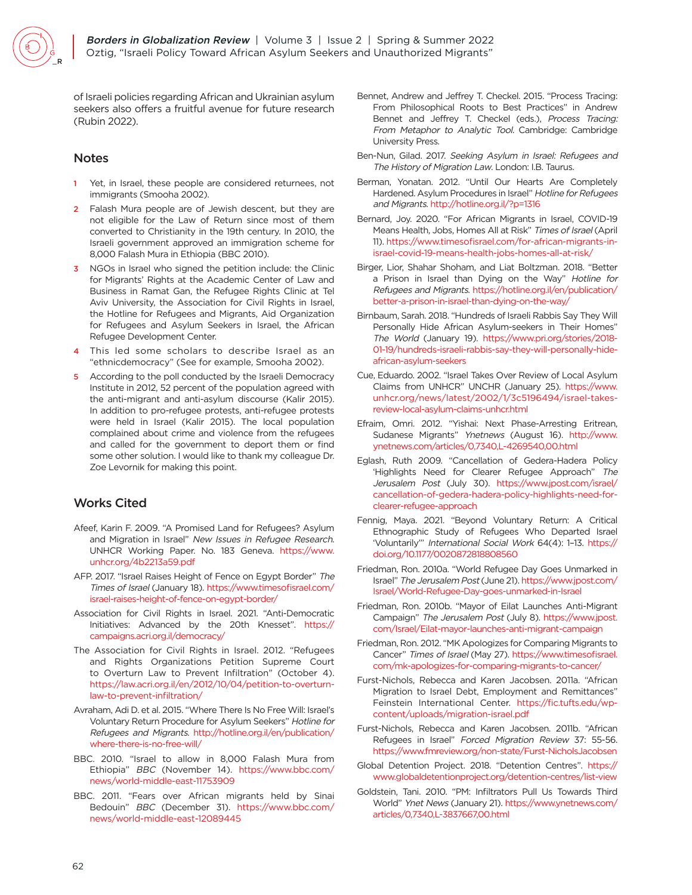

of Israeli policies regarding African and Ukrainian asylum seekers also offers a fruitful avenue for future research (Rubin 2022).

#### Notes

- <span id="page-9-0"></span>Yet, in Israel, these people are considered returnees, not immigrants (Smooha 2002).
- <span id="page-9-1"></span>Falash Mura people are of Jewish descent, but they are not eligible for the Law of Return since most of them converted to Christianity in the 19th century. In 2010, the Israeli government approved an immigration scheme for 8,000 Falash Mura in Ethiopia (BBC 2010).
- <span id="page-9-2"></span>[3](#page-5-0) NGOs in Israel who signed the petition include: the Clinic for Migrants' Rights at the Academic Center of Law and Business in Ramat Gan, the Refugee Rights Clinic at Tel Aviv University, the Association for Civil Rights in Israel, the Hotline for Refugees and Migrants, Aid Organization for Refugees and Asylum Seekers in Israel, the African Refugee Development Center.
- <span id="page-9-3"></span>This led some scholars to describe Israel as an "ethnicdemocracy" (See for example, Smooha 2002).
- <span id="page-9-4"></span>[5](#page-8-1) According to the poll conducted by the Israeli Democracy Institute in 2012, 52 percent of the population agreed with the anti-migrant and anti-asylum discourse (Kalir 2015). In addition to pro-refugee protests, anti-refugee protests were held in Israel (Kalir 2015). The local population complained about crime and violence from the refugees and called for the government to deport them or find some other solution. I would like to thank my colleague Dr. Zoe Levornik for making this point.

# Works Cited

- Afeef, Karin F. 2009. "A Promised Land for Refugees? Asylum and Migration in Israel" New Issues in Refugee Research. UNHCR Working Paper. No. 183 Geneva. [https://www.](https://www.unhcr.org/4b2213a59.pdf) [unhcr.org/4b2213a59.pdf](https://www.unhcr.org/4b2213a59.pdf)
- AFP. 2017. "Israel Raises Height of Fence on Egypt Border" The Times of Israel (January 18). [https://www.timesofisrael.com/](https://www.timesofisrael.com/israel-raises-height-of-fence-on-egypt-border/) [israel-raises-height-of-fence-on-egypt-border/](https://www.timesofisrael.com/israel-raises-height-of-fence-on-egypt-border/)
- Association for Civil Rights in Israel. 2021. "Anti-Democratic Initiatives: Advanced by the 20th Knesset". [https://](https://campaigns.acri.org.il/democracy/) [campaigns.acri.org.il/democracy/](https://campaigns.acri.org.il/democracy/)
- The Association for Civil Rights in Israel. 2012. "Refugees and Rights Organizations Petition Supreme Court to Overturn Law to Prevent Infiltration" (October 4). [https://law.acri.org.il/en/2012/10/04/petition-to-overturn](https://law.acri.org.il/en/2012/10/04/petition-to-overturn-law-to-prevent-infiltration/)[law-to-prevent-infiltration/](https://law.acri.org.il/en/2012/10/04/petition-to-overturn-law-to-prevent-infiltration/)
- Avraham, Adi D. et al. 2015. "Where There Is No Free Will: Israel's Voluntary Return Procedure for Asylum Seekers" Hotline for Refugees and Migrants. [http://hotline.org.il/en/publication/](http://hotline.org.il/en/publication/where-there-is-no-free-will/) [where-there-is-no-free-will/](http://hotline.org.il/en/publication/where-there-is-no-free-will/)
- BBC. 2010. "Israel to allow in 8,000 Falash Mura from Ethiopia" BBC (November 14). [https://www.bbc.com/](https://www.bbc.com/news/world-middle-east-11753909) [news/world-middle-east-11753909](https://www.bbc.com/news/world-middle-east-11753909)
- BBC. 2011. "Fears over African migrants held by Sinai Bedouin" BBC (December 31). [https://www.bbc.com/](https://www.bbc.com/news/world-middle-east-12089445) [news/world-middle-east-12089445](https://www.bbc.com/news/world-middle-east-12089445)
- Bennet, Andrew and Jeffrey T. Checkel. 2015. "Process Tracing: From Philosophical Roots to Best Practices" in Andrew Bennet and Jeffrey T. Checkel (eds.), Process Tracing: From Metaphor to Analytic Tool. Cambridge: Cambridge University Press.
- Ben-Nun, Gilad. 2017. Seeking Asylum in Israel: Refugees and The History of Migration Law. London: I.B. Taurus.
- Berman, Yonatan. 2012. "Until Our Hearts Are Completely Hardened. Asylum Procedures in Israel" Hotline for Refugees and Migrants.<http://hotline.org.il/?p=1316>
- Bernard, Joy. 2020. "For African Migrants in Israel, COVID-19 Means Health, Jobs, Homes All at Risk" Times of Israel (April 11). [https://www.timesofisrael.com/for-african-migrants-in](https://www.timesofisrael.com/for-african-migrants-in-israel-covid-19-means-health-jobs-homes-all-at-risk/)[israel-covid-19-means-health-jobs-homes-all-at-risk/](https://www.timesofisrael.com/for-african-migrants-in-israel-covid-19-means-health-jobs-homes-all-at-risk/)
- Birger, Lior, Shahar Shoham, and Liat Boltzman. 2018. "Better a Prison in Israel than Dying on the Way" Hotline for Refugees and Migrants. [https://hotline.org.il/en/publication/](https://hotline.org.il/en/publication/better-a-prison-in-israel-than-dying-on-the-way/) [better-a-prison-in-israel-than-dying-on-the-way/](https://hotline.org.il/en/publication/better-a-prison-in-israel-than-dying-on-the-way/)
- Birnbaum, Sarah. 2018. "Hundreds of Israeli Rabbis Say They Will Personally Hide African Asylum-seekers in Their Homes" The World (January 19). [https://www.pri.org/stories/2018-](https://www.pri.org/stories/2018-01-19/hundreds-israeli-rabbis-say-they-will-personally-hide-african-asylum-seekers) [01-19/hundreds-israeli-rabbis-say-they-will-personally-hide](https://www.pri.org/stories/2018-01-19/hundreds-israeli-rabbis-say-they-will-personally-hide-african-asylum-seekers)[african-asylum-seekers](https://www.pri.org/stories/2018-01-19/hundreds-israeli-rabbis-say-they-will-personally-hide-african-asylum-seekers)
- Cue, Eduardo. 2002. "Israel Takes Over Review of Local Asylum Claims from UNHCR" UNCHR (January 25). [https://www.](https://www.unhcr.org/news/latest/2002/1/3c5196494/israel-takes-review-local-asylum-claims-unhcr.html) [unhcr.org/news/latest/2002/1/3c5196494/israel-takes](https://www.unhcr.org/news/latest/2002/1/3c5196494/israel-takes-review-local-asylum-claims-unhcr.html)[review-local-asylum-claims-unhcr.html](https://www.unhcr.org/news/latest/2002/1/3c5196494/israel-takes-review-local-asylum-claims-unhcr.html)
- Efraim, Omri. 2012. "Yishai: Next Phase-Arresting Eritrean, Sudanese Migrants" Ynetnews (August 16). [http://www.](http://www.ynetnews.com/articles/0,7340,L-4269540,00.html) [ynetnews.com/articles/0,7340,L-4269540,00.html](http://www.ynetnews.com/articles/0,7340,L-4269540,00.html)
- Eglash, Ruth 2009. "Cancellation of Gedera-Hadera Policy 'Highlights Need for Clearer Refugee Approach" The Jerusalem Post (July 30). [https://www.jpost.com/israel/](https://www.jpost.com/israel/cancellation-of-gedera-hadera-policy-highlights-need-for-clearer-refugee-approach) [cancellation-of-gedera-hadera-policy-highlights-need-for](https://www.jpost.com/israel/cancellation-of-gedera-hadera-policy-highlights-need-for-clearer-refugee-approach)[clearer-refugee-approach](https://www.jpost.com/israel/cancellation-of-gedera-hadera-policy-highlights-need-for-clearer-refugee-approach)
- Fennig, Maya. 2021. "Beyond Voluntary Return: A Critical Ethnographic Study of Refugees Who Departed Israel 'Voluntarily'" International Social Work 64(4): 1–13. [https://](https://doi.org/10.1177/0020872818808560) [doi.org/10.1177/0020872818808560](https://doi.org/10.1177/0020872818808560)
- Friedman, Ron. 2010a. "World Refugee Day Goes Unmarked in Israel" The Jerusalem Post (June 21). [https://www.jpost.com/](https://www.jpost.com/Israel/World-Refugee-Day-goes-unmarked-in-Israel) [Israel/World-Refugee-Day-goes-unmarked-in-Israel](https://www.jpost.com/Israel/World-Refugee-Day-goes-unmarked-in-Israel)
- Friedman, Ron. 2010b. "Mayor of Eilat Launches Anti-Migrant Campaign" The Jerusalem Post (July 8). [https://www.jpost.](https://www.jpost.com/Israel/Eilat-mayor-launches-anti-migrant-campaign) [com/Israel/Eilat-mayor-launches-anti-migrant-campaign](https://www.jpost.com/Israel/Eilat-mayor-launches-anti-migrant-campaign)
- Friedman, Ron. 2012. "MK Apologizes for Comparing Migrants to Cancer" Times of Israel (May 27). [https://www.timesofisrael.](https://www.timesofisrael.com/mk-apologizes-for-comparing-migrants-to-cancer/) [com/mk-apologizes-for-comparing-migrants-to-cancer/](https://www.timesofisrael.com/mk-apologizes-for-comparing-migrants-to-cancer/)
- Furst-Nichols, Rebecca and Karen Jacobsen. 2011a. "African Migration to Israel Debt, Employment and Remittances" Feinstein International Center. [https://fic.tufts.edu/wp](https://fic.tufts.edu/wp-content/uploads/migration-israel.pdf)[content/uploads/migration-israel.pdf](https://fic.tufts.edu/wp-content/uploads/migration-israel.pdf)
- Furst-Nichols, Rebecca and Karen Jacobsen. 2011b. "African Refugees in Israel" Forced Migration Review 37: 55-56. <https://www.fmreview.org/non-state/Furst-NicholsJacobsen>
- Global Detention Project. 2018. "Detention Centres". [https://](https://www.globaldetentionproject.org/detention-centres/list-view) [www.globaldetentionproject.org/detention-centres/list-view](https://www.globaldetentionproject.org/detention-centres/list-view)
- Goldstein, Tani. 2010. "PM: Infiltrators Pull Us Towards Third World" Ynet News (January 21). [https://www.ynetnews.com/](https://www.ynetnews.com/articles/0,7340,L-3837667,00.html) [articles/0,7340,L-3837667,00.html](https://www.ynetnews.com/articles/0,7340,L-3837667,00.html)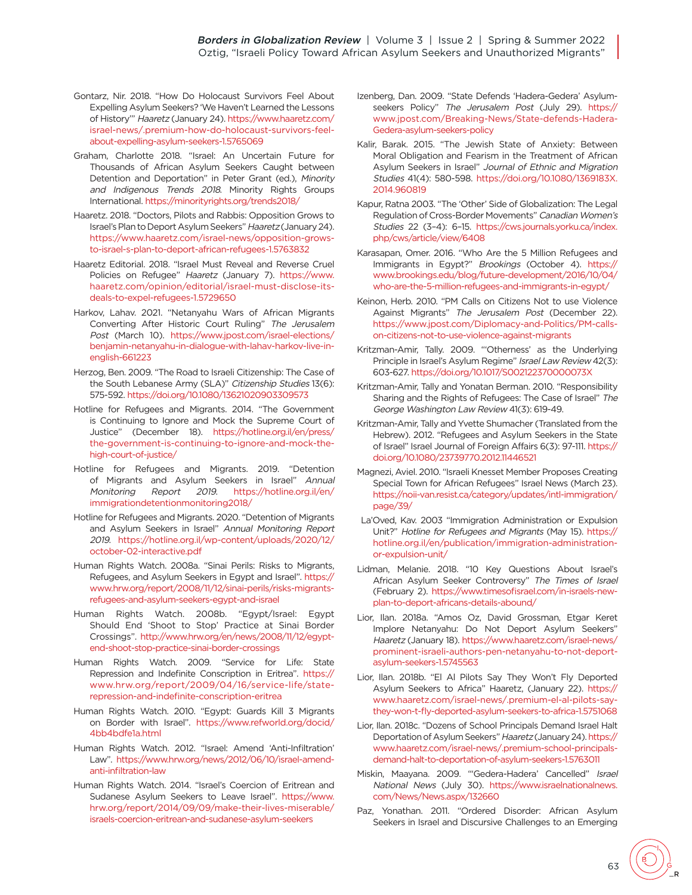- Gontarz, Nir. 2018. "How Do Holocaust Survivors Feel About Expelling Asylum Seekers? 'We Haven't Learned the Lessons of History'" Haaretz (January 24). [https://www.haaretz.com/](https://www.haaretz.com/israel-news/.premium-how-do-holocaust-survivors-feel-about-expelling-asylum-seekers-1.5765069) [israel-news/.premium-how-do-holocaust-survivors-feel](https://www.haaretz.com/israel-news/.premium-how-do-holocaust-survivors-feel-about-expelling-asylum-seekers-1.5765069)[about-expelling-asylum-seekers-1.5765069](https://www.haaretz.com/israel-news/.premium-how-do-holocaust-survivors-feel-about-expelling-asylum-seekers-1.5765069)
- Graham, Charlotte 2018. "Israel: An Uncertain Future for Thousands of African Asylum Seekers Caught between Detention and Deportation" in Peter Grant (ed.), Minority and Indigenous Trends 2018. Minority Rights Groups International.<https://minorityrights.org/trends2018/>
- Haaretz. 2018. "Doctors, Pilots and Rabbis: Opposition Grows to Israel's Plan to Deport Asylum Seekers" Haaretz (January 24). [https://www.haaretz.com/israel-news/opposition-grows](https://www.haaretz.com/israel-news/opposition-grows-to-israel-s-plan-to-deport-african-refugees-1.5763832)[to-israel-s-plan-to-deport-african-refugees-1.5763832](https://www.haaretz.com/israel-news/opposition-grows-to-israel-s-plan-to-deport-african-refugees-1.5763832)
- Haaretz Editorial. 2018. "Israel Must Reveal and Reverse Cruel Policies on Refugee" Haaretz (January 7). [https://www.](https://www.haaretz.com/opinion/editorial/israel-must-disclose-its-deals-to-expel-refugees-1.5729650) [haaretz.com/opinion/editorial/israel-must-disclose-its](https://www.haaretz.com/opinion/editorial/israel-must-disclose-its-deals-to-expel-refugees-1.5729650)[deals-to-expel-refugees-1.5729650](https://www.haaretz.com/opinion/editorial/israel-must-disclose-its-deals-to-expel-refugees-1.5729650)
- Harkov, Lahav. 2021. "Netanyahu Wars of African Migrants Converting After Historic Court Ruling" The Jerusalem Post (March 10). [https://www.jpost.com/israel-elections/](https://www.jpost.com/israel-elections/benjamin-netanyahu-in-dialogue-with-lahav-harkov-live-in-english-661223) [benjamin-netanyahu-in-dialogue-with-lahav-harkov-live-in](https://www.jpost.com/israel-elections/benjamin-netanyahu-in-dialogue-with-lahav-harkov-live-in-english-661223)[english-661223](https://www.jpost.com/israel-elections/benjamin-netanyahu-in-dialogue-with-lahav-harkov-live-in-english-661223)
- Herzog, Ben. 2009. "The Road to Israeli Citizenship: The Case of the South Lebanese Army (SLA)" Citizenship Studies 13(6): 575-592. <https://doi.org/10.1080/13621020903309573>
- Hotline for Refugees and Migrants. 2014. "The Government is Continuing to Ignore and Mock the Supreme Court of Justice" (December 18). [https://hotline.org.il/en/press/](https://hotline.org.il/en/press/the-government-is-continuing-to-ignore-and-mock-the-high-court-of-justice/) [the-government-is-continuing-to-ignore-and-mock-the](https://hotline.org.il/en/press/the-government-is-continuing-to-ignore-and-mock-the-high-court-of-justice/)[high-court-of-justice/](https://hotline.org.il/en/press/the-government-is-continuing-to-ignore-and-mock-the-high-court-of-justice/)
- Hotline for Refugees and Migrants. 2019. "Detention of Migrants and Asylum Seekers in Israel" Annual Monitoring Report 2019. [https://hotline.org.il/en/](https://hotline.org.il/en/immigrationdetentionmonitoring2018/) [immigrationdetentionmonitoring2018/](https://hotline.org.il/en/immigrationdetentionmonitoring2018/)
- Hotline for Refugees and Migrants. 2020. "Detention of Migrants and Asylum Seekers in Israel" Annual Monitoring Report 2019. [https://hotline.org.il/wp-content/uploads/2020/12/](https://hotline.org.il/wp-content/uploads/2020/12/october-02-interactive.pdf) [october-02-interactive.pdf](https://hotline.org.il/wp-content/uploads/2020/12/october-02-interactive.pdf)
- Human Rights Watch. 2008a. "Sinai Perils: Risks to Migrants, Refugees, and Asylum Seekers in Egypt and Israel". [https://](https://www.hrw.org/report/2008/11/12/sinai-perils/risks-migrants-refugees-and-asylum-seekers-egypt-and-israel) [www.hrw.org/report/2008/11/12/sinai-perils/risks-migrants](https://www.hrw.org/report/2008/11/12/sinai-perils/risks-migrants-refugees-and-asylum-seekers-egypt-and-israel)[refugees-and-asylum-seekers-egypt-and-israel](https://www.hrw.org/report/2008/11/12/sinai-perils/risks-migrants-refugees-and-asylum-seekers-egypt-and-israel)
- Human Rights Watch. 2008b. "Egypt/Israel: Egypt Should End 'Shoot to Stop' Practice at Sinai Border Crossings". [http://www.hrw.org/en/news/2008/11/12/egypt](http://www.hrw.org/en/news/2008/11/12/egypt-end-shoot-stop-practice-sinai-border-crossings)[end-shoot-stop-practice-sinai-border-crossings](http://www.hrw.org/en/news/2008/11/12/egypt-end-shoot-stop-practice-sinai-border-crossings)
- Human Rights Watch. 2009. "Service for Life: State Repression and Indefinite Conscription in Eritrea". [https://](https://www.hrw.org/report/2009/04/16/service-life/state-repression-and-indefinite-conscription-eritrea) [www.hrw.org/report/2009/04/16/service-life/state](https://www.hrw.org/report/2009/04/16/service-life/state-repression-and-indefinite-conscription-eritrea)[repression-and-indefinite-conscription-eritrea](https://www.hrw.org/report/2009/04/16/service-life/state-repression-and-indefinite-conscription-eritrea)
- Human Rights Watch. 2010. "Egypt: Guards Kill 3 Migrants on Border with Israel". [https://www.refworld.org/docid/](https://www.refworld.org/docid/4bb4bdfe1a.html) [4bb4bdfe1a.html](https://www.refworld.org/docid/4bb4bdfe1a.html)
- Human Rights Watch. 2012. "Israel: Amend 'Anti-Infiltration' Law". [https://www.hrw.org/news/2012/06/10/israel-amend](https://www.hrw.org/news/2012/06/10/israel-amend-anti-infiltration-law)[anti-infiltration-law](https://www.hrw.org/news/2012/06/10/israel-amend-anti-infiltration-law)
- Human Rights Watch. 2014. "Israel's Coercion of Eritrean and Sudanese Asylum Seekers to Leave Israel". [https://www.](https://www.hrw.org/report/2014/09/09/make-their-lives-miserable/israels-coercion-eritrean-and-sudanese-asylum-seekers) [hrw.org/report/2014/09/09/make-their-lives-miserable/](https://www.hrw.org/report/2014/09/09/make-their-lives-miserable/israels-coercion-eritrean-and-sudanese-asylum-seekers) [israels-coercion-eritrean-and-sudanese-asylum-seekers](https://www.hrw.org/report/2014/09/09/make-their-lives-miserable/israels-coercion-eritrean-and-sudanese-asylum-seekers)
- Izenberg, Dan. 2009. "State Defends 'Hadera-Gedera' Asylumseekers Policy" The Jerusalem Post (July 29). [https://](https://www.jpost.com/Breaking-News/State-defends-Hadera-Gedera-asylum-seekers-policy) [www.jpost.com/Breaking-News/State-defends-Hadera-](https://www.jpost.com/Breaking-News/State-defends-Hadera-Gedera-asylum-seekers-policy)[Gedera-asylum-seekers-policy](https://www.jpost.com/Breaking-News/State-defends-Hadera-Gedera-asylum-seekers-policy)
- Kalir, Barak. 2015. "The Jewish State of Anxiety: Between Moral Obligation and Fearism in the Treatment of African Asylum Seekers in Israel" Journal of Ethnic and Migration Studies 41(4): 580-598. [https://doi.org/10.1080/1369183X.](https://doi.org/10.1080/1369183X.2014.960819) [2014.960819](https://doi.org/10.1080/1369183X.2014.960819)
- Kapur, Ratna 2003. "The 'Other' Side of Globalization: The Legal Regulation of Cross-Border Movements" Canadian Women's Studies 22 (3–4): 6–15. [https://cws.journals.yorku.ca/index.](https://cws.journals.yorku.ca/index.php/cws/article/view/6408) [php/cws/article/view/6408](https://cws.journals.yorku.ca/index.php/cws/article/view/6408)
- Karasapan, Omer. 2016. "Who Are the 5 Million Refugees and Immigrants in Egypt?" Brookings (October 4). [https://](https://www.brookings.edu/blog/future-development/2016/10/04/who-are-the-5-million-refugees-and-immigrants-in-egypt/) [www.brookings.edu/blog/future-development/2016/10/04/](https://www.brookings.edu/blog/future-development/2016/10/04/who-are-the-5-million-refugees-and-immigrants-in-egypt/) [who-are-the-5-million-refugees-and-immigrants-in-egypt/](https://www.brookings.edu/blog/future-development/2016/10/04/who-are-the-5-million-refugees-and-immigrants-in-egypt/)
- Keinon, Herb. 2010. "PM Calls on Citizens Not to use Violence Against Migrants" The Jerusalem Post (December 22). [https://www.jpost.com/Diplomacy-and-Politics/PM-calls](https://www.jpost.com/Diplomacy-and-Politics/PM-calls-on-citizens-not-to-use-violence-against-migrants)[on-citizens-not-to-use-violence-against-migrants](https://www.jpost.com/Diplomacy-and-Politics/PM-calls-on-citizens-not-to-use-violence-against-migrants)
- Kritzman-Amir, Tally. 2009. "'Otherness' as the Underlying Principle in Israel's Asylum Regime" Israel Law Review 42(3): 603-627.<https://doi.org/10.1017/S002122370000073X>
- Kritzman-Amir, Tally and Yonatan Berman. 2010. "Responsibility Sharing and the Rights of Refugees: The Case of Israel" The George Washington Law Review 41(3): 619-49.
- Kritzman-Amir, Tally and Yvette Shumacher (Translated from the Hebrew). 2012. "Refugees and Asylum Seekers in the State of Israel" Israel Journal of Foreign Affairs 6(3): 97-111. [https://](https://doi.org/10.1080/23739770.2012.11446521) [doi.org/10.1080/23739770.2012.11446521](https://doi.org/10.1080/23739770.2012.11446521)
- Magnezi, Aviel. 2010. "Israeli Knesset Member Proposes Creating Special Town for African Refugees" Israel News (March 23). [https://noii-van.resist.ca/category/updates/intl-immigration/](https://noii-van.resist.ca/category/updates/intl-immigration/page/39/) [page/39/](https://noii-van.resist.ca/category/updates/intl-immigration/page/39/)
- La'Oved, Kav. 2003 "Immigration Administration or Expulsion Unit?" Hotline for Refugees and Migrants (May 15). [https://](https://hotline.org.il/en/publication/immigration-administration-or-expulsion-unit/) [hotline.org.il/en/publication/immigration-administration](https://hotline.org.il/en/publication/immigration-administration-or-expulsion-unit/)[or-expulsion-unit/](https://hotline.org.il/en/publication/immigration-administration-or-expulsion-unit/)
- Lidman, Melanie. 2018. "10 Key Questions About Israel's African Asylum Seeker Controversy" The Times of Israel (February 2). [https://www.timesofisrael.com/in-israels-new](https://www.timesofisrael.com/in-israels-new-plan-to-deport-africans-details-abound/)[plan-to-deport-africans-details-abound/](https://www.timesofisrael.com/in-israels-new-plan-to-deport-africans-details-abound/)
- Lior, Ilan. 2018a. "Amos Oz, David Grossman, Etgar Keret Implore Netanyahu: Do Not Deport Asylum Seekers" Haaretz (January 18). [https://www.haaretz.com/israel-news/](https://www.haaretz.com/israel-news/prominent-israeli-authors-pen-netanyahu-to-not-deport-asylum-seekers-1.5745563) [prominent-israeli-authors-pen-netanyahu-to-not-deport](https://www.haaretz.com/israel-news/prominent-israeli-authors-pen-netanyahu-to-not-deport-asylum-seekers-1.5745563)[asylum-seekers-1.5745563](https://www.haaretz.com/israel-news/prominent-israeli-authors-pen-netanyahu-to-not-deport-asylum-seekers-1.5745563)
- Lior, Ilan. 2018b. "El Al Pilots Say They Won't Fly Deported Asylum Seekers to Africa" Haaretz, (January 22). [https://](https://www.haaretz.com/israel-news/.premium-el-al-pilots-say-they-won-t-fly-deported-asylum-seekers-to-africa-1.5751068) [www.haaretz.com/israel-news/.premium-el-al-pilots-say](https://www.haaretz.com/israel-news/.premium-el-al-pilots-say-they-won-t-fly-deported-asylum-seekers-to-africa-1.5751068)[they-won-t-fly-deported-asylum-seekers-to-africa-1.5751068](https://www.haaretz.com/israel-news/.premium-el-al-pilots-say-they-won-t-fly-deported-asylum-seekers-to-africa-1.5751068)
- Lior, Ilan. 2018c. "Dozens of School Principals Demand Israel Halt Deportation of Asylum Seekers" Haaretz (January 24). [https://](https://www.haaretz.com/israel-news/.premium-school-principals-demand-halt-to-deportation-of-asylum-seekers-1.5763011) [www.haaretz.com/israel-news/.premium-school-principals](https://www.haaretz.com/israel-news/.premium-school-principals-demand-halt-to-deportation-of-asylum-seekers-1.5763011)[demand-halt-to-deportation-of-asylum-seekers-1.5763011](https://www.haaretz.com/israel-news/.premium-school-principals-demand-halt-to-deportation-of-asylum-seekers-1.5763011)
- Miskin, Maayana. 2009. "'Gedera-Hadera' Cancelled" Israel National News (July 30). [https://www.israelnationalnews.](https://www.israelnationalnews.com/News/News.aspx/132660) [com/News/News.aspx/132660](https://www.israelnationalnews.com/News/News.aspx/132660)
- Paz, Yonathan. 2011. "Ordered Disorder: African Asylum Seekers in Israel and Discursive Challenges to an Emerging